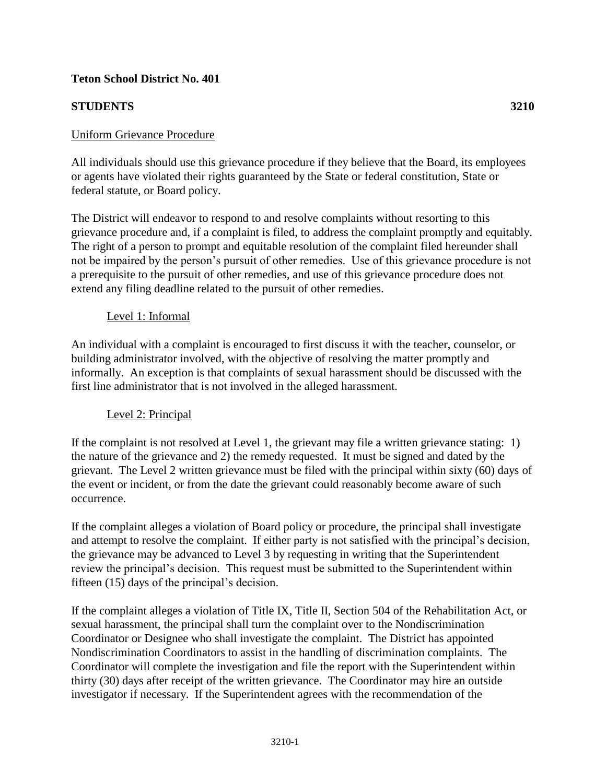### **Teton School District No. 401**

## **STUDENTS 3210**

## Uniform Grievance Procedure

All individuals should use this grievance procedure if they believe that the Board, its employees or agents have violated their rights guaranteed by the State or federal constitution, State or federal statute, or Board policy.

The District will endeavor to respond to and resolve complaints without resorting to this grievance procedure and, if a complaint is filed, to address the complaint promptly and equitably. The right of a person to prompt and equitable resolution of the complaint filed hereunder shall not be impaired by the person's pursuit of other remedies. Use of this grievance procedure is not a prerequisite to the pursuit of other remedies, and use of this grievance procedure does not extend any filing deadline related to the pursuit of other remedies.

#### Level 1: Informal

An individual with a complaint is encouraged to first discuss it with the teacher, counselor, or building administrator involved, with the objective of resolving the matter promptly and informally. An exception is that complaints of sexual harassment should be discussed with the first line administrator that is not involved in the alleged harassment.

### Level 2: Principal

If the complaint is not resolved at Level 1, the grievant may file a written grievance stating: 1) the nature of the grievance and 2) the remedy requested. It must be signed and dated by the grievant. The Level 2 written grievance must be filed with the principal within sixty (60) days of the event or incident, or from the date the grievant could reasonably become aware of such occurrence.

If the complaint alleges a violation of Board policy or procedure, the principal shall investigate and attempt to resolve the complaint. If either party is not satisfied with the principal's decision, the grievance may be advanced to Level 3 by requesting in writing that the Superintendent review the principal's decision. This request must be submitted to the Superintendent within fifteen (15) days of the principal's decision.

If the complaint alleges a violation of Title IX, Title II, Section 504 of the Rehabilitation Act, or sexual harassment, the principal shall turn the complaint over to the Nondiscrimination Coordinator or Designee who shall investigate the complaint. The District has appointed Nondiscrimination Coordinators to assist in the handling of discrimination complaints. The Coordinator will complete the investigation and file the report with the Superintendent within thirty (30) days after receipt of the written grievance. The Coordinator may hire an outside investigator if necessary. If the Superintendent agrees with the recommendation of the